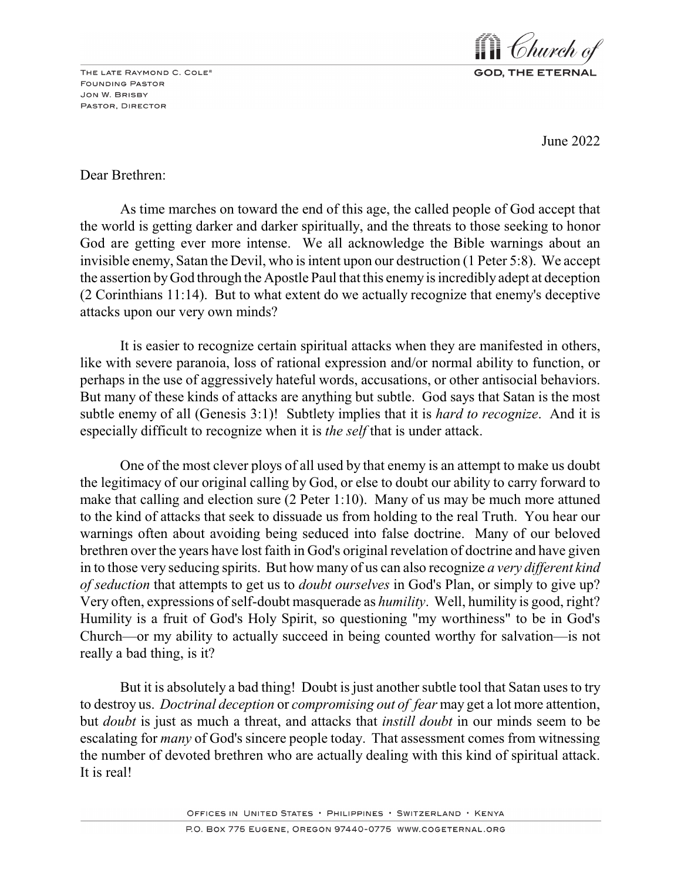THE LATE RAYMOND C. COLE® **FOUNDING PASTOR** JON W. BRISBY PASTOR, DIRECTOR



June 2022

# Dear Brethren:

As time marches on toward the end of this age, the called people of God accept that the world is getting darker and darker spiritually, and the threats to those seeking to honor God are getting ever more intense. We all acknowledge the Bible warnings about an invisible enemy, Satan the Devil, who is intent upon our destruction (1 Peter 5:8). We accept the assertion byGod through the Apostle Paul that this enemy is incredibly adept at deception (2 Corinthians 11:14). But to what extent do we actually recognize that enemy's deceptive attacks upon our very own minds?

It is easier to recognize certain spiritual attacks when they are manifested in others, like with severe paranoia, loss of rational expression and/or normal ability to function, or perhaps in the use of aggressively hateful words, accusations, or other antisocial behaviors. But many of these kinds of attacks are anything but subtle. God says that Satan is the most subtle enemy of all (Genesis 3:1)! Subtlety implies that it is *hard to recognize*. And it is especially difficult to recognize when it is *the self* that is under attack.

One of the most clever ploys of all used by that enemy is an attempt to make us doubt the legitimacy of our original calling by God, or else to doubt our ability to carry forward to make that calling and election sure (2 Peter 1:10). Many of us may be much more attuned to the kind of attacks that seek to dissuade us from holding to the real Truth. You hear our warnings often about avoiding being seduced into false doctrine. Many of our beloved brethren over the years have lost faith in God's original revelation of doctrine and have given in to those very seducing spirits. But how many of us can also recognize *a very different kind of seduction* that attempts to get us to *doubt ourselves* in God's Plan, or simply to give up? Very often, expressions of self-doubt masquerade as *humility*. Well, humility is good, right? Humility is a fruit of God's Holy Spirit, so questioning "my worthiness" to be in God's Church—or my ability to actually succeed in being counted worthy for salvation—is not really a bad thing, is it?

But it is absolutely a bad thing! Doubt is just another subtle tool that Satan uses to try to destroy us. *Doctrinal deception* or *compromising out of fear* may get a lot more attention, but *doubt* is just as much a threat, and attacks that *instill doubt* in our minds seem to be escalating for *many* of God's sincere people today. That assessment comes from witnessing the number of devoted brethren who are actually dealing with this kind of spiritual attack. It is real!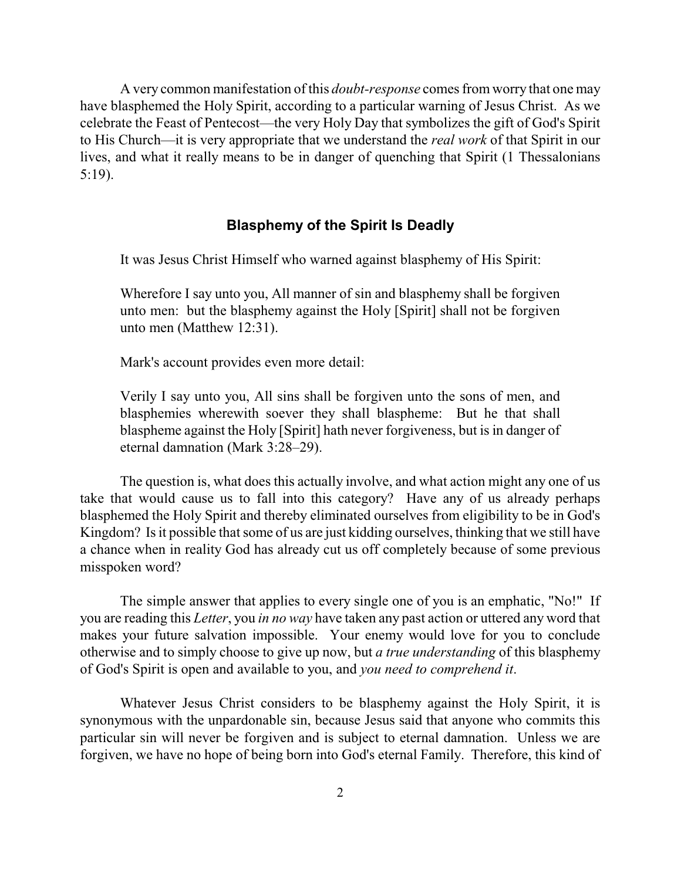A very common manifestation of this *doubt-response* comes from worry that one may have blasphemed the Holy Spirit, according to a particular warning of Jesus Christ. As we celebrate the Feast of Pentecost—the very Holy Day that symbolizes the gift of God's Spirit to His Church—it is very appropriate that we understand the *real work* of that Spirit in our lives, and what it really means to be in danger of quenching that Spirit (1 Thessalonians 5:19).

#### **Blasphemy of the Spirit Is Deadly**

It was Jesus Christ Himself who warned against blasphemy of His Spirit:

Wherefore I say unto you, All manner of sin and blasphemy shall be forgiven unto men: but the blasphemy against the Holy [Spirit] shall not be forgiven unto men (Matthew 12:31).

Mark's account provides even more detail:

Verily I say unto you, All sins shall be forgiven unto the sons of men, and blasphemies wherewith soever they shall blaspheme: But he that shall blaspheme against the Holy [Spirit] hath never forgiveness, but is in danger of eternal damnation (Mark 3:28–29).

The question is, what does this actually involve, and what action might any one of us take that would cause us to fall into this category? Have any of us already perhaps blasphemed the Holy Spirit and thereby eliminated ourselves from eligibility to be in God's Kingdom? Is it possible that some of us are just kidding ourselves, thinking that we still have a chance when in reality God has already cut us off completely because of some previous misspoken word?

The simple answer that applies to every single one of you is an emphatic, "No!" If you are reading this *Letter*, you *in no way* have taken any past action or uttered any word that makes your future salvation impossible. Your enemy would love for you to conclude otherwise and to simply choose to give up now, but *a true understanding* of this blasphemy of God's Spirit is open and available to you, and *you need to comprehend it*.

Whatever Jesus Christ considers to be blasphemy against the Holy Spirit, it is synonymous with the unpardonable sin, because Jesus said that anyone who commits this particular sin will never be forgiven and is subject to eternal damnation. Unless we are forgiven, we have no hope of being born into God's eternal Family. Therefore, this kind of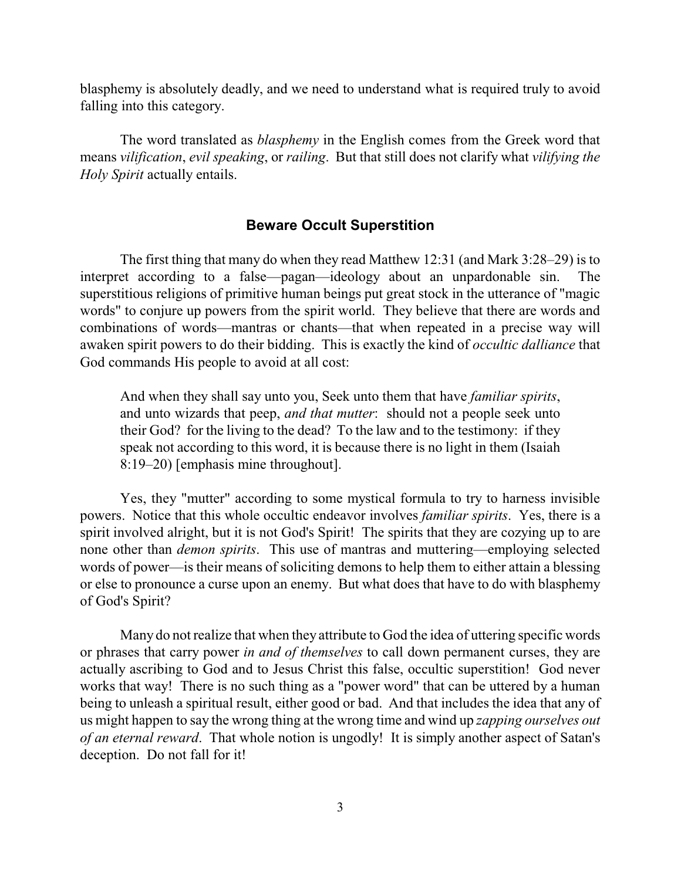blasphemy is absolutely deadly, and we need to understand what is required truly to avoid falling into this category.

The word translated as *blasphemy* in the English comes from the Greek word that means *vilification*, *evil speaking*, or *railing*. But that still does not clarify what *vilifying the Holy Spirit* actually entails.

# **Beware Occult Superstition**

The first thing that many do when they read Matthew 12:31 (and Mark 3:28–29) is to interpret according to a false—pagan—ideology about an unpardonable sin. The superstitious religions of primitive human beings put great stock in the utterance of "magic words" to conjure up powers from the spirit world. They believe that there are words and combinations of words—mantras or chants—that when repeated in a precise way will awaken spirit powers to do their bidding. This is exactly the kind of *occultic dalliance* that God commands His people to avoid at all cost:

And when they shall say unto you, Seek unto them that have *familiar spirits*, and unto wizards that peep, *and that mutter*: should not a people seek unto their God? for the living to the dead? To the law and to the testimony: if they speak not according to this word, it is because there is no light in them (Isaiah 8:19–20) [emphasis mine throughout].

Yes, they "mutter" according to some mystical formula to try to harness invisible powers. Notice that this whole occultic endeavor involves *familiar spirits*. Yes, there is a spirit involved alright, but it is not God's Spirit! The spirits that they are cozying up to are none other than *demon spirits*. This use of mantras and muttering—employing selected words of power—is their means of soliciting demons to help them to either attain a blessing or else to pronounce a curse upon an enemy. But what does that have to do with blasphemy of God's Spirit?

Many do not realize that when they attribute to God the idea of uttering specific words or phrases that carry power *in and of themselves* to call down permanent curses, they are actually ascribing to God and to Jesus Christ this false, occultic superstition! God never works that way! There is no such thing as a "power word" that can be uttered by a human being to unleash a spiritual result, either good or bad. And that includes the idea that any of us might happen to say the wrong thing at the wrong time and wind up *zapping ourselves out of an eternal reward*. That whole notion is ungodly! It is simply another aspect of Satan's deception. Do not fall for it!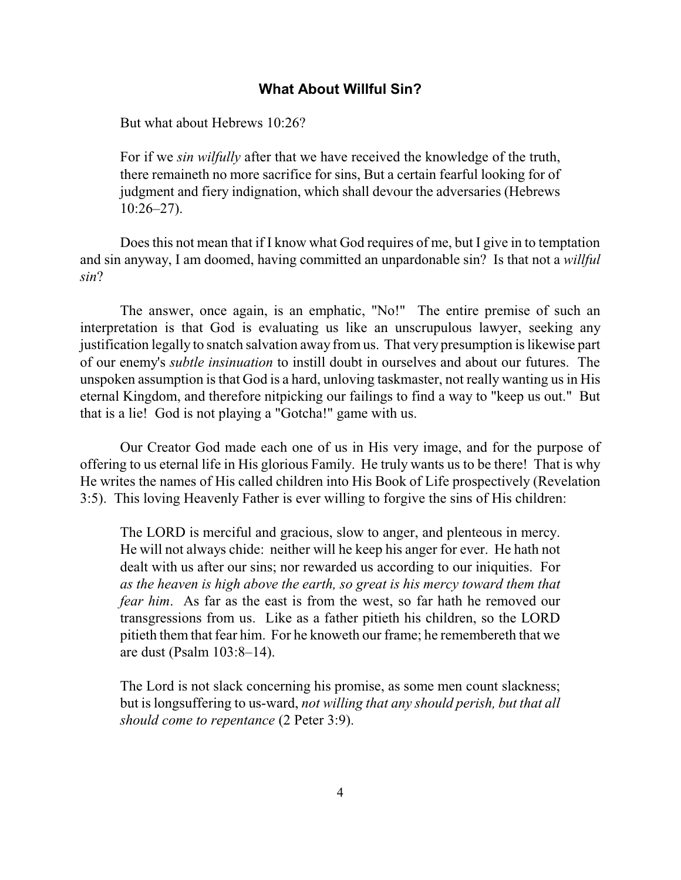# **What About Willful Sin?**

But what about Hebrews 10:26?

For if we *sin wilfully* after that we have received the knowledge of the truth, there remaineth no more sacrifice for sins, But a certain fearful looking for of judgment and fiery indignation, which shall devour the adversaries (Hebrews 10:26–27).

Does this not mean that if I know what God requires of me, but I give in to temptation and sin anyway, I am doomed, having committed an unpardonable sin? Is that not a *willful sin*?

The answer, once again, is an emphatic, "No!" The entire premise of such an interpretation is that God is evaluating us like an unscrupulous lawyer, seeking any justification legally to snatch salvation away from us. That very presumption is likewise part of our enemy's *subtle insinuation* to instill doubt in ourselves and about our futures. The unspoken assumption is that God is a hard, unloving taskmaster, not really wanting us in His eternal Kingdom, and therefore nitpicking our failings to find a way to "keep us out." But that is a lie! God is not playing a "Gotcha!" game with us.

Our Creator God made each one of us in His very image, and for the purpose of offering to us eternal life in His glorious Family. He truly wants us to be there! That is why He writes the names of His called children into His Book of Life prospectively (Revelation 3:5). This loving Heavenly Father is ever willing to forgive the sins of His children:

The LORD is merciful and gracious, slow to anger, and plenteous in mercy. He will not always chide: neither will he keep his anger for ever. He hath not dealt with us after our sins; nor rewarded us according to our iniquities. For *as the heaven is high above the earth, so great is his mercy toward them that fear him*. As far as the east is from the west, so far hath he removed our transgressions from us. Like as a father pitieth his children, so the LORD pitieth them that fear him. For he knoweth our frame; he remembereth that we are dust (Psalm 103:8–14).

The Lord is not slack concerning his promise, as some men count slackness; but is longsuffering to us-ward, *not willing that any should perish, but that all should come to repentance* (2 Peter 3:9).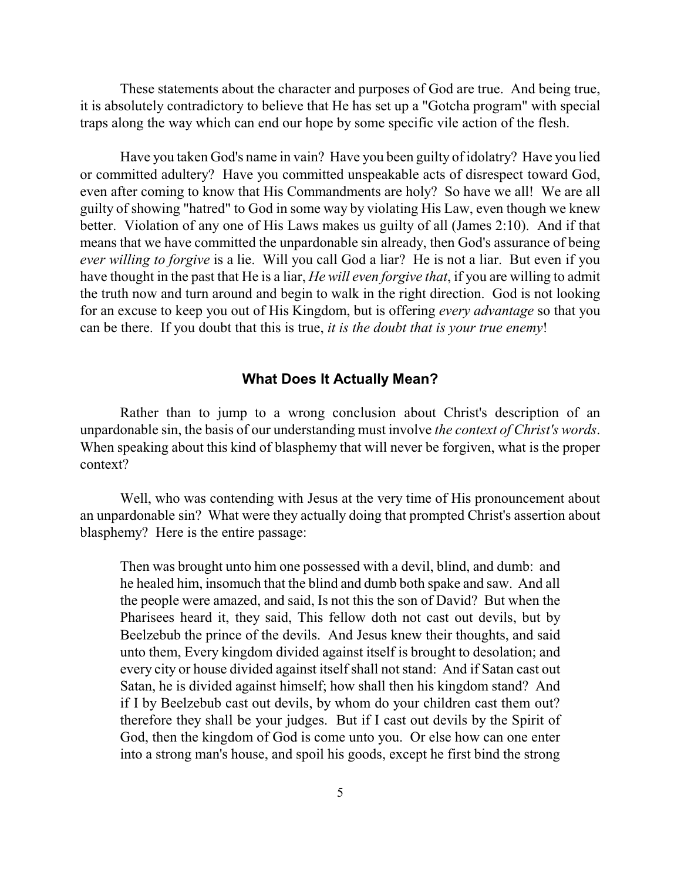These statements about the character and purposes of God are true. And being true, it is absolutely contradictory to believe that He has set up a "Gotcha program" with special traps along the way which can end our hope by some specific vile action of the flesh.

Have you taken God's name in vain? Have you been guilty of idolatry? Have you lied or committed adultery? Have you committed unspeakable acts of disrespect toward God, even after coming to know that His Commandments are holy? So have we all! We are all guilty of showing "hatred" to God in some way by violating His Law, even though we knew better. Violation of any one of His Laws makes us guilty of all (James 2:10). And if that means that we have committed the unpardonable sin already, then God's assurance of being *ever willing to forgive* is a lie. Will you call God a liar? He is not a liar. But even if you have thought in the past that He is a liar, *He will even forgive that*, if you are willing to admit the truth now and turn around and begin to walk in the right direction. God is not looking for an excuse to keep you out of His Kingdom, but is offering *every advantage* so that you can be there. If you doubt that this is true, *it is the doubt that is your true enemy*!

### **What Does It Actually Mean?**

Rather than to jump to a wrong conclusion about Christ's description of an unpardonable sin, the basis of our understanding must involve *the context of Christ's words*. When speaking about this kind of blasphemy that will never be forgiven, what is the proper context?

Well, who was contending with Jesus at the very time of His pronouncement about an unpardonable sin? What were they actually doing that prompted Christ's assertion about blasphemy? Here is the entire passage:

Then was brought unto him one possessed with a devil, blind, and dumb: and he healed him, insomuch that the blind and dumb both spake and saw. And all the people were amazed, and said, Is not this the son of David? But when the Pharisees heard it, they said, This fellow doth not cast out devils, but by Beelzebub the prince of the devils. And Jesus knew their thoughts, and said unto them, Every kingdom divided against itself is brought to desolation; and every city or house divided against itself shall not stand: And if Satan cast out Satan, he is divided against himself; how shall then his kingdom stand? And if I by Beelzebub cast out devils, by whom do your children cast them out? therefore they shall be your judges. But if I cast out devils by the Spirit of God, then the kingdom of God is come unto you. Or else how can one enter into a strong man's house, and spoil his goods, except he first bind the strong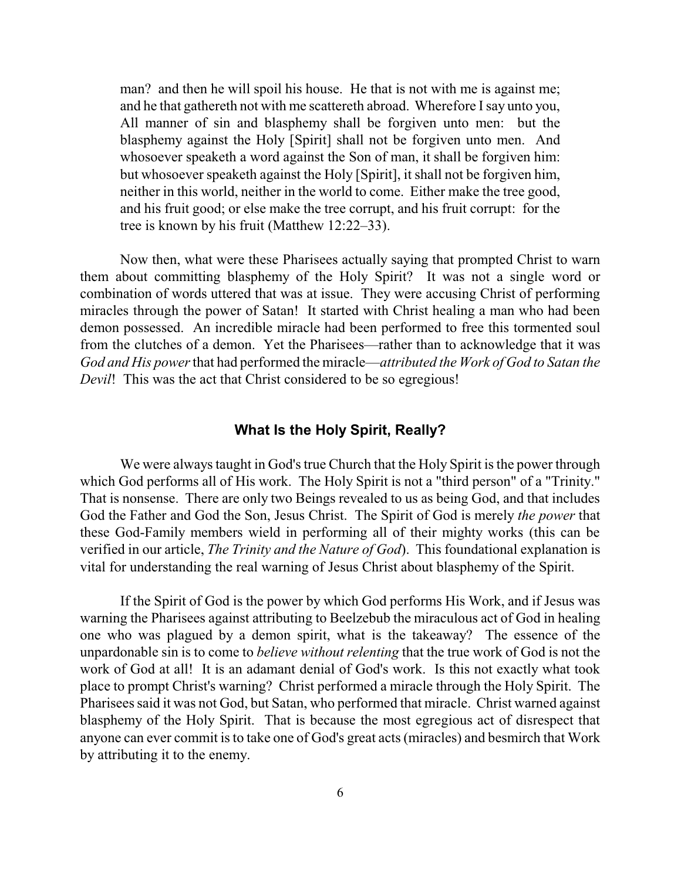man? and then he will spoil his house. He that is not with me is against me; and he that gathereth not with me scattereth abroad. Wherefore Isay unto you, All manner of sin and blasphemy shall be forgiven unto men: but the blasphemy against the Holy [Spirit] shall not be forgiven unto men. And whosoever speaketh a word against the Son of man, it shall be forgiven him: but whosoever speaketh against the Holy [Spirit], it shall not be forgiven him, neither in this world, neither in the world to come. Either make the tree good, and his fruit good; or else make the tree corrupt, and his fruit corrupt: for the tree is known by his fruit (Matthew 12:22–33).

Now then, what were these Pharisees actually saying that prompted Christ to warn them about committing blasphemy of the Holy Spirit? It was not a single word or combination of words uttered that was at issue. They were accusing Christ of performing miracles through the power of Satan! It started with Christ healing a man who had been demon possessed. An incredible miracle had been performed to free this tormented soul from the clutches of a demon. Yet the Pharisees—rather than to acknowledge that it was *God and His power* that had performed the miracle—*attributed the Work of God to Satan the Devil!* This was the act that Christ considered to be so egregious!

# **What Is the Holy Spirit, Really?**

We were always taught in God's true Church that the Holy Spirit is the power through which God performs all of His work. The Holy Spirit is not a "third person" of a "Trinity." That is nonsense. There are only two Beings revealed to us as being God, and that includes God the Father and God the Son, Jesus Christ. The Spirit of God is merely *the power* that these God-Family members wield in performing all of their mighty works (this can be verified in our article, *The Trinity and the Nature of God*). This foundational explanation is vital for understanding the real warning of Jesus Christ about blasphemy of the Spirit.

If the Spirit of God is the power by which God performs His Work, and if Jesus was warning the Pharisees against attributing to Beelzebub the miraculous act of God in healing one who was plagued by a demon spirit, what is the takeaway? The essence of the unpardonable sin is to come to *believe without relenting* that the true work of God is not the work of God at all! It is an adamant denial of God's work. Is this not exactly what took place to prompt Christ's warning? Christ performed a miracle through the Holy Spirit. The Pharisees said it was not God, but Satan, who performed that miracle. Christ warned against blasphemy of the Holy Spirit. That is because the most egregious act of disrespect that anyone can ever commit is to take one of God's great acts (miracles) and besmirch that Work by attributing it to the enemy.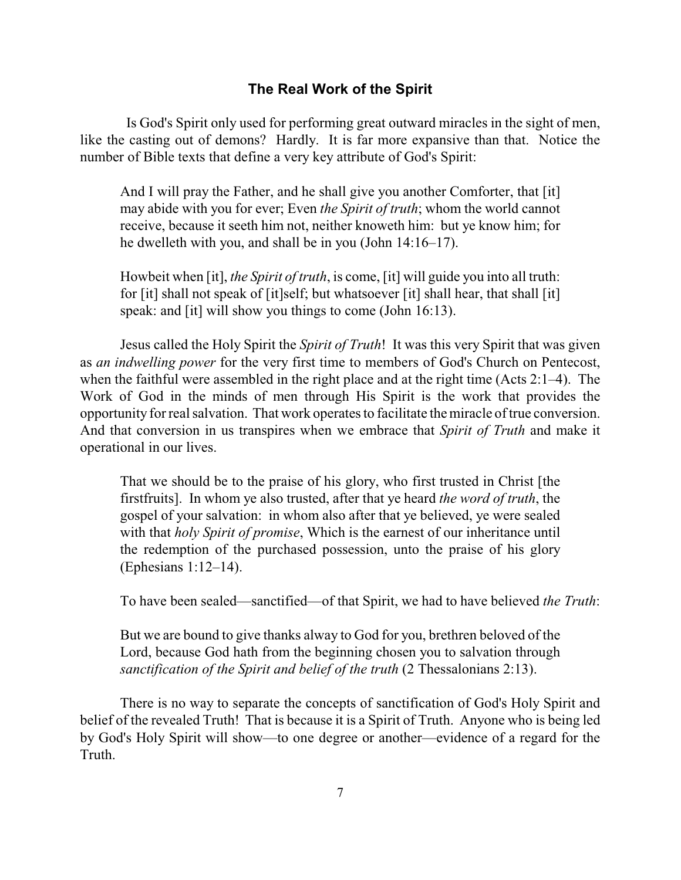# **The Real Work of the Spirit**

Is God's Spirit only used for performing great outward miracles in the sight of men, like the casting out of demons? Hardly. It is far more expansive than that. Notice the number of Bible texts that define a very key attribute of God's Spirit:

And I will pray the Father, and he shall give you another Comforter, that [it] may abide with you for ever; Even *the Spirit of truth*; whom the world cannot receive, because it seeth him not, neither knoweth him: but ye know him; for he dwelleth with you, and shall be in you (John 14:16–17).

Howbeit when [it], *the Spirit of truth*, is come, [it] will guide you into all truth: for [it] shall not speak of [it]self; but whatsoever [it] shall hear, that shall [it] speak: and [it] will show you things to come (John 16:13).

Jesus called the Holy Spirit the *Spirit of Truth*! It was this very Spirit that was given as *an indwelling power* for the very first time to members of God's Church on Pentecost, when the faithful were assembled in the right place and at the right time (Acts 2:1–4). The Work of God in the minds of men through His Spirit is the work that provides the opportunity for real salvation. That work operates to facilitate the miracle oftrue conversion. And that conversion in us transpires when we embrace that *Spirit of Truth* and make it operational in our lives.

That we should be to the praise of his glory, who first trusted in Christ [the firstfruits]. In whom ye also trusted, after that ye heard *the word of truth*, the gospel of your salvation: in whom also after that ye believed, ye were sealed with that *holy Spirit of promise*, Which is the earnest of our inheritance until the redemption of the purchased possession, unto the praise of his glory (Ephesians 1:12–14).

To have been sealed—sanctified—of that Spirit, we had to have believed *the Truth*:

But we are bound to give thanks alway to God for you, brethren beloved of the Lord, because God hath from the beginning chosen you to salvation through *sanctification of the Spirit and belief of the truth (2 Thessalonians 2:13).* 

There is no way to separate the concepts of sanctification of God's Holy Spirit and belief of the revealed Truth! That is because it is a Spirit of Truth. Anyone who is being led by God's Holy Spirit will show—to one degree or another—evidence of a regard for the Truth.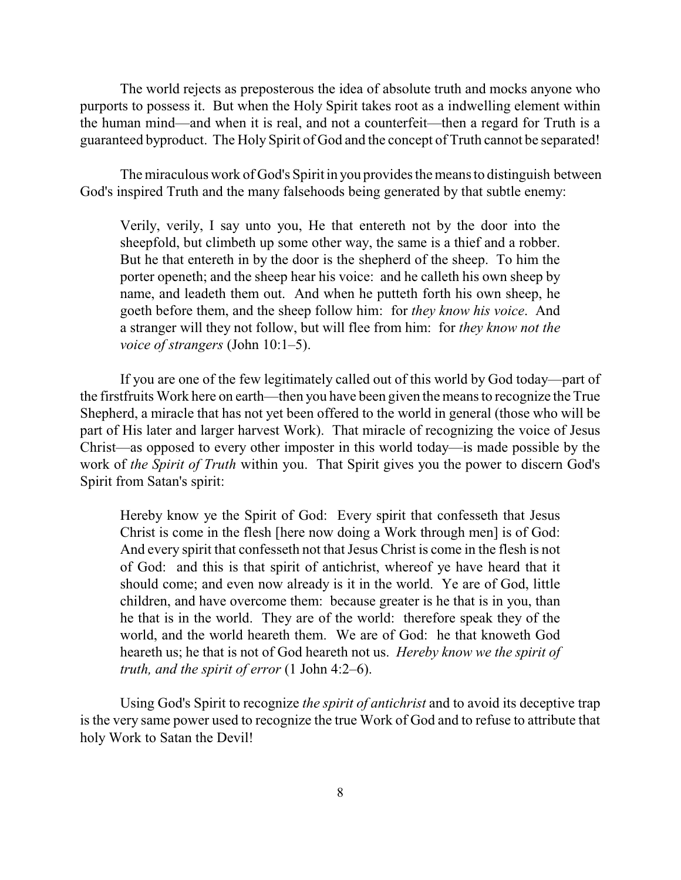The world rejects as preposterous the idea of absolute truth and mocks anyone who purports to possess it. But when the Holy Spirit takes root as a indwelling element within the human mind—and when it is real, and not a counterfeit—then a regard for Truth is a guaranteed byproduct. The Holy Spirit of God and the concept of Truth cannot be separated!

The miraculous work of God's Spirit in you provides the means to distinguish between God's inspired Truth and the many falsehoods being generated by that subtle enemy:

Verily, verily, I say unto you, He that entereth not by the door into the sheepfold, but climbeth up some other way, the same is a thief and a robber. But he that entereth in by the door is the shepherd of the sheep. To him the porter openeth; and the sheep hear his voice: and he calleth his own sheep by name, and leadeth them out. And when he putteth forth his own sheep, he goeth before them, and the sheep follow him: for *they know his voice*. And a stranger will they not follow, but will flee from him: for *they know not the voice of strangers* (John 10:1–5).

If you are one of the few legitimately called out of this world by God today—part of the firstfruits Work here on earth—then you have been given the means to recognize the True Shepherd, a miracle that has not yet been offered to the world in general (those who will be part of His later and larger harvest Work). That miracle of recognizing the voice of Jesus Christ—as opposed to every other imposter in this world today—is made possible by the work of *the Spirit of Truth* within you. That Spirit gives you the power to discern God's Spirit from Satan's spirit:

Hereby know ye the Spirit of God: Every spirit that confesseth that Jesus Christ is come in the flesh [here now doing a Work through men] is of God: And every spirit that confesseth not that Jesus Christ is come in the flesh is not of God: and this is that spirit of antichrist, whereof ye have heard that it should come; and even now already is it in the world. Ye are of God, little children, and have overcome them: because greater is he that is in you, than he that is in the world. They are of the world: therefore speak they of the world, and the world heareth them. We are of God: he that knoweth God heareth us; he that is not of God heareth not us. *Hereby know we the spirit of truth, and the spirit of error* (1 John 4:2–6).

Using God's Spirit to recognize *the spirit of antichrist* and to avoid its deceptive trap is the very same power used to recognize the true Work of God and to refuse to attribute that holy Work to Satan the Devil!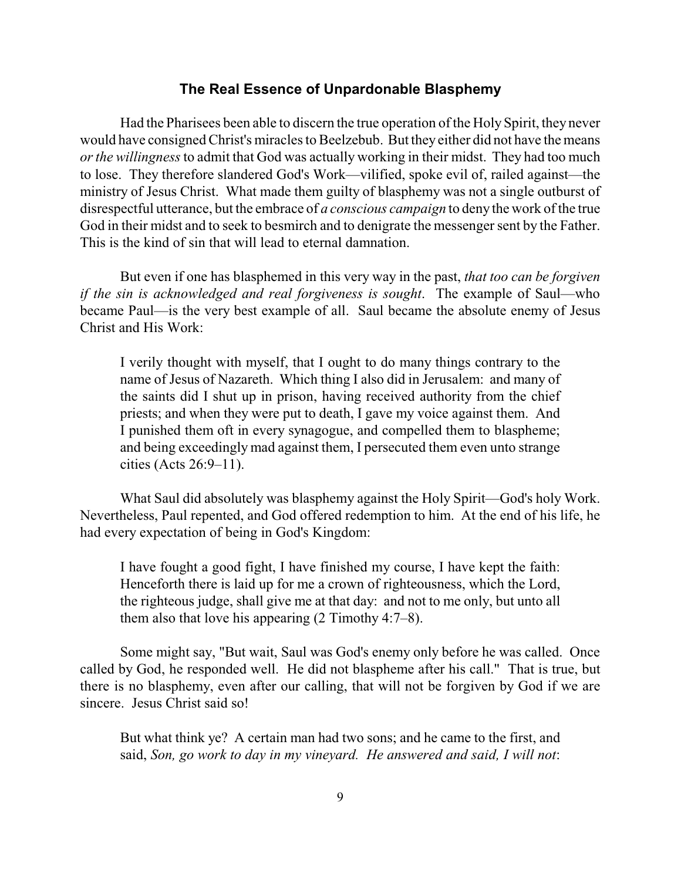#### **The Real Essence of Unpardonable Blasphemy**

Had the Pharisees been able to discern the true operation of the HolySpirit, they never would have consigned Christ's miracles to Beelzebub. But they either did not have the means *or the willingness*to admit that God was actually working in their midst. They had too much to lose. They therefore slandered God's Work—vilified, spoke evil of, railed against—the ministry of Jesus Christ. What made them guilty of blasphemy was not a single outburst of disrespectful utterance, but the embrace of *a conscious campaign* to deny the work of the true God in their midst and to seek to besmirch and to denigrate the messenger sent by the Father. This is the kind of sin that will lead to eternal damnation.

But even if one has blasphemed in this very way in the past, *that too can be forgiven if the sin is acknowledged and real forgiveness is sought*. The example of Saul—who became Paul—is the very best example of all. Saul became the absolute enemy of Jesus Christ and His Work:

I verily thought with myself, that I ought to do many things contrary to the name of Jesus of Nazareth. Which thing I also did in Jerusalem: and many of the saints did I shut up in prison, having received authority from the chief priests; and when they were put to death, I gave my voice against them. And I punished them oft in every synagogue, and compelled them to blaspheme; and being exceedingly mad against them, I persecuted them even unto strange cities (Acts 26:9–11).

What Saul did absolutely was blasphemy against the Holy Spirit—God's holy Work. Nevertheless, Paul repented, and God offered redemption to him. At the end of his life, he had every expectation of being in God's Kingdom:

I have fought a good fight, I have finished my course, I have kept the faith: Henceforth there is laid up for me a crown of righteousness, which the Lord, the righteous judge, shall give me at that day: and not to me only, but unto all them also that love his appearing (2 Timothy 4:7–8).

Some might say, "But wait, Saul was God's enemy only before he was called. Once called by God, he responded well. He did not blaspheme after his call." That is true, but there is no blasphemy, even after our calling, that will not be forgiven by God if we are sincere. Jesus Christ said so!

But what think ye? A certain man had two sons; and he came to the first, and said, *Son, go work to day in my vineyard. He answered and said, I will not*: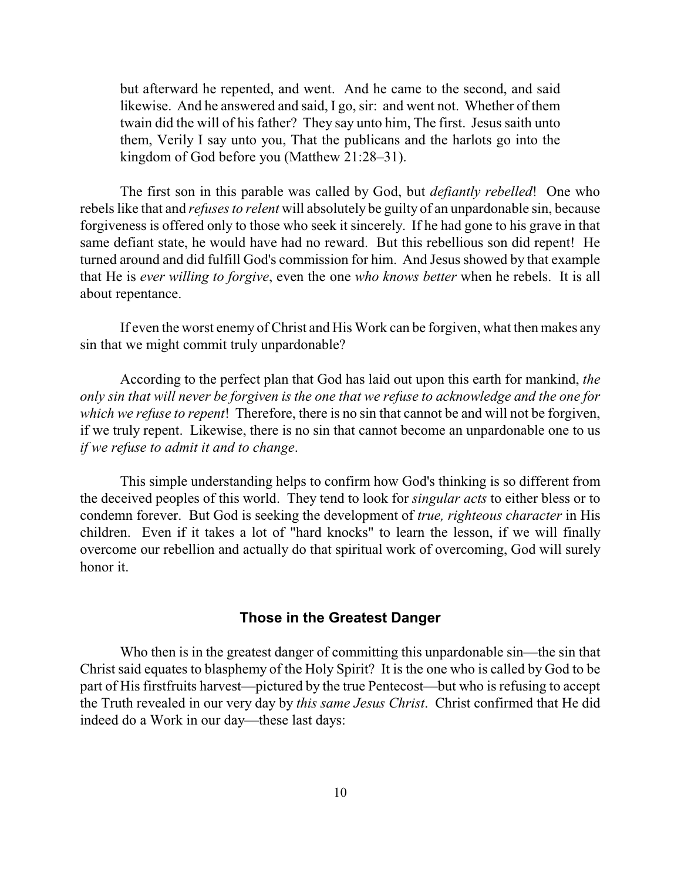but afterward he repented, and went. And he came to the second, and said likewise. And he answered and said, I go, sir: and went not. Whether of them twain did the will of his father? They say unto him, The first. Jesus saith unto them, Verily I say unto you, That the publicans and the harlots go into the kingdom of God before you (Matthew 21:28–31).

The first son in this parable was called by God, but *defiantly rebelled*! One who rebels like that and *refuses to relent* will absolutely be guilty of an unpardonable sin, because forgiveness is offered only to those who seek it sincerely. If he had gone to his grave in that same defiant state, he would have had no reward. But this rebellious son did repent! He turned around and did fulfill God's commission for him. And Jesus showed by that example that He is *ever willing to forgive*, even the one *who knows better* when he rebels. It is all about repentance.

If even the worst enemy of Christ and His Work can be forgiven, what then makes any sin that we might commit truly unpardonable?

According to the perfect plan that God has laid out upon this earth for mankind, *the only sin that will never be forgiven is the one that we refuse to acknowledge and the one for which we refuse to repent*! Therefore, there is no sin that cannot be and will not be forgiven, if we truly repent. Likewise, there is no sin that cannot become an unpardonable one to us *if we refuse to admit it and to change*.

This simple understanding helps to confirm how God's thinking is so different from the deceived peoples of this world. They tend to look for *singular acts* to either bless or to condemn forever. But God is seeking the development of *true, righteous character* in His children. Even if it takes a lot of "hard knocks" to learn the lesson, if we will finally overcome our rebellion and actually do that spiritual work of overcoming, God will surely honor it.

# **Those in the Greatest Danger**

Who then is in the greatest danger of committing this unpardonable sin—the sin that Christ said equates to blasphemy of the Holy Spirit? It is the one who is called by God to be part of His firstfruits harvest—pictured by the true Pentecost—but who is refusing to accept the Truth revealed in our very day by *this same Jesus Christ*. Christ confirmed that He did indeed do a Work in our day—these last days: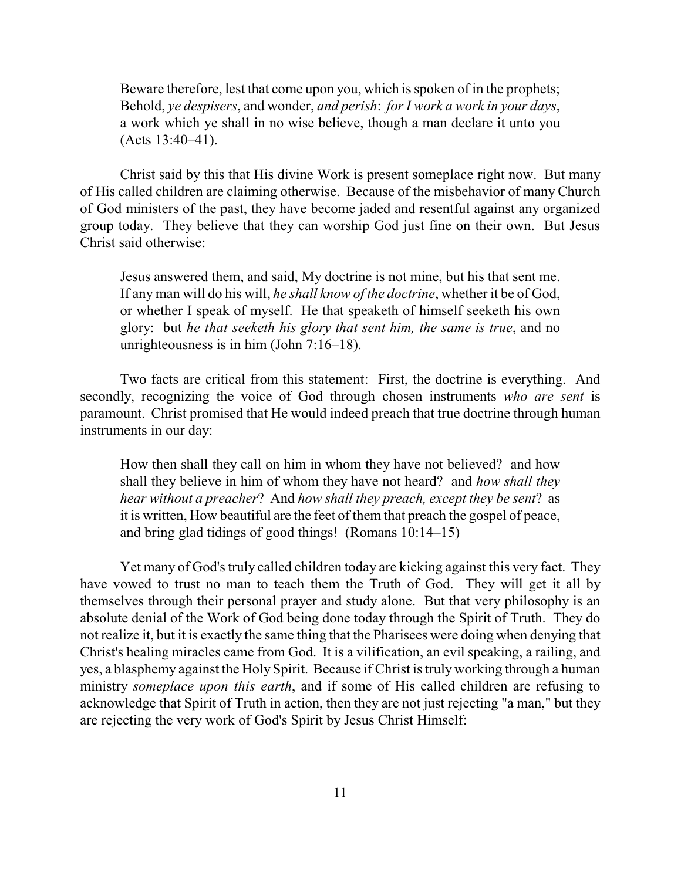Beware therefore, lest that come upon you, which is spoken of in the prophets; Behold, *ye despisers*, and wonder, *and perish*: *for I work a work in your days*, a work which ye shall in no wise believe, though a man declare it unto you (Acts 13:40–41).

Christ said by this that His divine Work is present someplace right now. But many of His called children are claiming otherwise. Because of the misbehavior of many Church of God ministers of the past, they have become jaded and resentful against any organized group today. They believe that they can worship God just fine on their own. But Jesus Christ said otherwise:

Jesus answered them, and said, My doctrine is not mine, but his that sent me. If any man will do his will, *he shall know of the doctrine*, whether it be of God, or whether I speak of myself. He that speaketh of himself seeketh his own glory: but *he that seeketh his glory that sent him, the same is true*, and no unrighteousness is in him (John 7:16–18).

Two facts are critical from this statement: First, the doctrine is everything. And secondly, recognizing the voice of God through chosen instruments *who are sent* is paramount. Christ promised that He would indeed preach that true doctrine through human instruments in our day:

How then shall they call on him in whom they have not believed? and how shall they believe in him of whom they have not heard? and *how shall they hear without a preacher*? And *how shall they preach, except they be sent*? as it is written, How beautiful are the feet of them that preach the gospel of peace, and bring glad tidings of good things! (Romans 10:14–15)

Yet many of God's truly called children today are kicking against this very fact. They have vowed to trust no man to teach them the Truth of God. They will get it all by themselves through their personal prayer and study alone. But that very philosophy is an absolute denial of the Work of God being done today through the Spirit of Truth. They do not realize it, but it is exactly the same thing that the Pharisees were doing when denying that Christ's healing miracles came from God. It is a vilification, an evil speaking, a railing, and yes, a blasphemy against the Holy Spirit. Because if Christ is truly working through a human ministry *someplace upon this earth*, and if some of His called children are refusing to acknowledge that Spirit of Truth in action, then they are not just rejecting "a man," but they are rejecting the very work of God's Spirit by Jesus Christ Himself: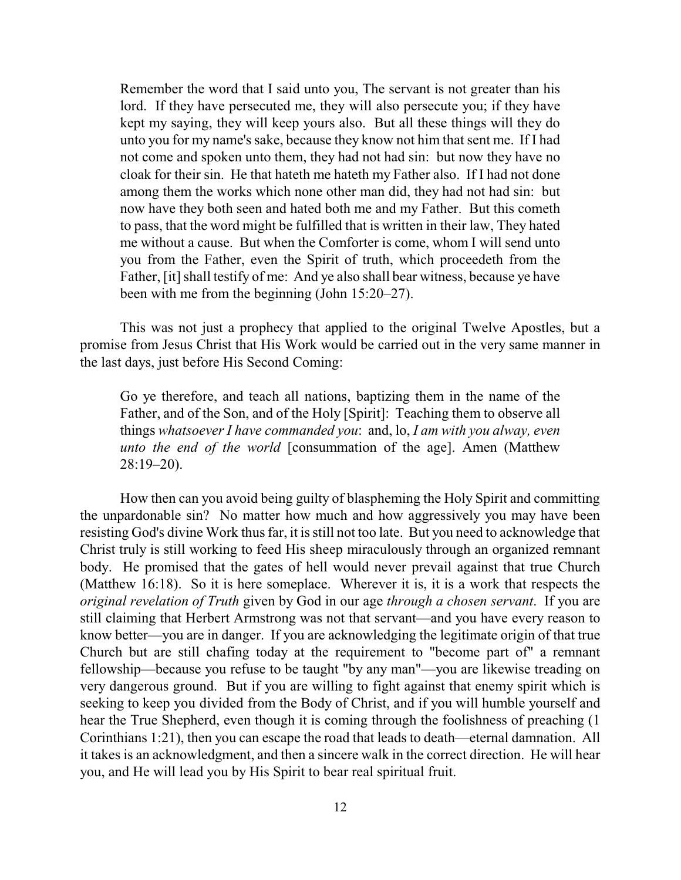Remember the word that I said unto you, The servant is not greater than his lord. If they have persecuted me, they will also persecute you; if they have kept my saying, they will keep yours also. But all these things will they do unto you for my name's sake, because they know not him that sent me. If I had not come and spoken unto them, they had not had sin: but now they have no cloak for their sin. He that hateth me hateth my Father also. If I had not done among them the works which none other man did, they had not had sin: but now have they both seen and hated both me and my Father. But this cometh to pass, that the word might be fulfilled that is written in their law, They hated me without a cause. But when the Comforter is come, whom I will send unto you from the Father, even the Spirit of truth, which proceedeth from the Father, [it] shall testify of me: And ye also shall bear witness, because ye have been with me from the beginning (John 15:20–27).

This was not just a prophecy that applied to the original Twelve Apostles, but a promise from Jesus Christ that His Work would be carried out in the very same manner in the last days, just before His Second Coming:

Go ye therefore, and teach all nations, baptizing them in the name of the Father, and of the Son, and of the Holy [Spirit]: Teaching them to observe all things *whatsoever I have commanded you*: and, lo, *I am with you alway, even unto the end of the world* [consummation of the age]. Amen (Matthew 28:19–20).

How then can you avoid being guilty of blaspheming the Holy Spirit and committing the unpardonable sin? No matter how much and how aggressively you may have been resisting God's divine Work thus far, it is still not too late. But you need to acknowledge that Christ truly is still working to feed His sheep miraculously through an organized remnant body. He promised that the gates of hell would never prevail against that true Church (Matthew 16:18). So it is here someplace. Wherever it is, it is a work that respects the *original revelation of Truth* given by God in our age *through a chosen servant*. If you are still claiming that Herbert Armstrong was not that servant—and you have every reason to know better—you are in danger. If you are acknowledging the legitimate origin of that true Church but are still chafing today at the requirement to "become part of" a remnant fellowship—because you refuse to be taught "by any man"—you are likewise treading on very dangerous ground. But if you are willing to fight against that enemy spirit which is seeking to keep you divided from the Body of Christ, and if you will humble yourself and hear the True Shepherd, even though it is coming through the foolishness of preaching (1 Corinthians 1:21), then you can escape the road that leads to death—eternal damnation. All it takes is an acknowledgment, and then a sincere walk in the correct direction. He will hear you, and He will lead you by His Spirit to bear real spiritual fruit.